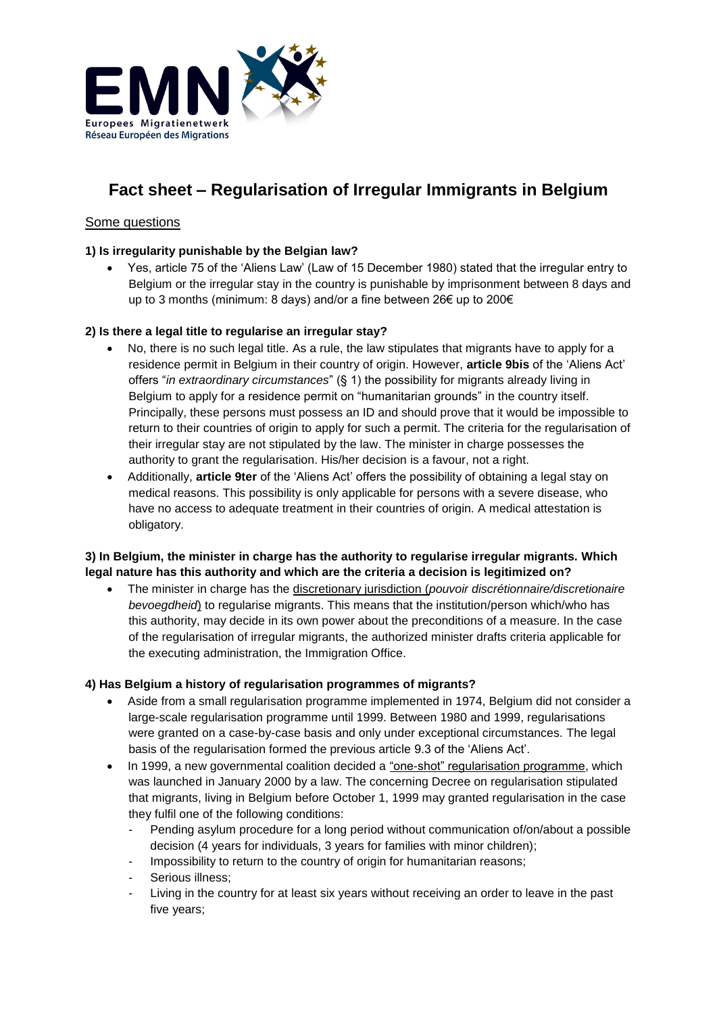

# **Fact sheet – Regularisation of Irregular Immigrants in Belgium**

# Some questions

## **1) Is irregularity punishable by the Belgian law?**

 Yes, article 75 of the 'Aliens Law' (Law of 15 December 1980) stated that the irregular entry to Belgium or the irregular stay in the country is punishable by imprisonment between 8 days and up to 3 months (minimum: 8 days) and/or a fine between 26€ up to 200€

### **2) Is there a legal title to regularise an irregular stay?**

- No, there is no such legal title. As a rule, the law stipulates that migrants have to apply for a residence permit in Belgium in their country of origin. However, **article 9bis** of the 'Aliens Act' offers "*in extraordinary circumstances*" (§ 1) the possibility for migrants already living in Belgium to apply for a residence permit on "humanitarian grounds" in the country itself. Principally, these persons must possess an ID and should prove that it would be impossible to return to their countries of origin to apply for such a permit. The criteria for the regularisation of their irregular stay are not stipulated by the law. The minister in charge possesses the authority to grant the regularisation. His/her decision is a favour, not a right.
- Additionally, **article 9ter** of the 'Aliens Act' offers the possibility of obtaining a legal stay on medical reasons. This possibility is only applicable for persons with a severe disease, who have no access to adequate treatment in their countries of origin. A medical attestation is obligatory.

### **3) In Belgium, the minister in charge has the authority to regularise irregular migrants. Which legal nature has this authority and which are the criteria a decision is legitimized on?**

 The minister in charge has the discretionary jurisdiction (*pouvoir discrétionnaire/discretionaire bevoegdheid*) to regularise migrants. This means that the institution/person which/who has this authority, may decide in its own power about the preconditions of a measure. In the case of the regularisation of irregular migrants, the authorized minister drafts criteria applicable for the executing administration, the Immigration Office.

#### **4) Has Belgium a history of regularisation programmes of migrants?**

- Aside from a small regularisation programme implemented in 1974, Belgium did not consider a large-scale regularisation programme until 1999. Between 1980 and 1999, regularisations were granted on a case-by-case basis and only under exceptional circumstances. The legal basis of the regularisation formed the previous article 9.3 of the 'Aliens Act'.
- In 1999, a new governmental coalition decided a "one-shot" regularisation programme, which was launched in January 2000 by a law. The concerning Decree on regularisation stipulated that migrants, living in Belgium before October 1, 1999 may granted regularisation in the case they fulfil one of the following conditions:
	- Pending asylum procedure for a long period without communication of/on/about a possible decision (4 years for individuals, 3 years for families with minor children);
	- Impossibility to return to the country of origin for humanitarian reasons;
	- Serious illness:
	- Living in the country for at least six years without receiving an order to leave in the past five years;